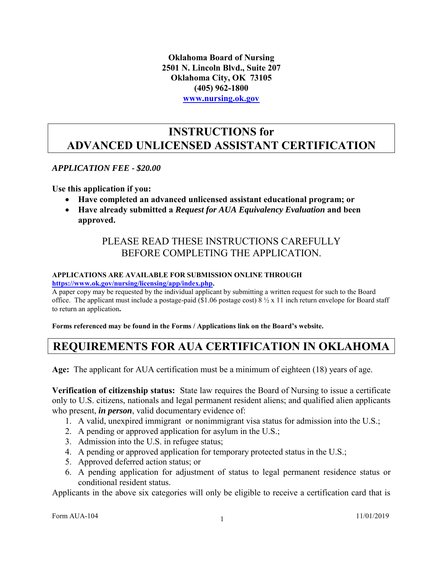**Oklahoma Board of Nursing 2501 N. Lincoln Blvd., Suite 207 Oklahoma City, OK 73105 (405) 962-1800 [www.nursing.ok.gov](http://www.ok.gov/nursing)**

#### **INSTRUCTIONS for ADVANCED UNLICENSED ASSISTANT CERTIFICATION**

#### *APPLICATION FEE - \$20.00*

**Use this application if you:**

- **Have completed an advanced unlicensed assistant educational program; or**
- **Have already submitted a** *Request for AUA Equivalency Evaluation* **and been approved.**

#### PLEASE READ THESE INSTRUCTIONS CAREFULLY BEFORE COMPLETING THE APPLICATION.

#### **APPLICATIONS ARE AVAILABLE FOR SUBMISSION ONLINE THROUGH [https://www.ok.gov/nursing/licensing/app/index.php.](https://www.ok.gov/nursing/licensing/app/index.php)**

A paper copy may be requested by the individual applicant by submitting a written request for such to the Board office. The applicant must include a postage-paid (\$1.06 postage cost)  $8 \frac{1}{2} \times x$  11 inch return envelope for Board staff to return an application**.**

**Forms referenced may be found in the Forms / Applications link on the Board's website.** 

## **REQUIREMENTS FOR AUA CERTIFICATION IN OKLAHOMA**

**Age:** The applicant for AUA certification must be a minimum of eighteen (18) years of age.

**Verification of citizenship status:** State law requires the Board of Nursing to issue a certificate only to U.S. citizens, nationals and legal permanent resident aliens; and qualified alien applicants who present, *in person*, valid documentary evidence of:

- 1. A valid, unexpired immigrant or nonimmigrant visa status for admission into the U.S.;
- 2. A pending or approved application for asylum in the U.S.;
- 3. Admission into the U.S. in refugee status;
- 4. A pending or approved application for temporary protected status in the U.S.;
- 5. Approved deferred action status; or
- 6. A pending application for adjustment of status to legal permanent residence status or conditional resident status.

Applicants in the above six categories will only be eligible to receive a certification card that is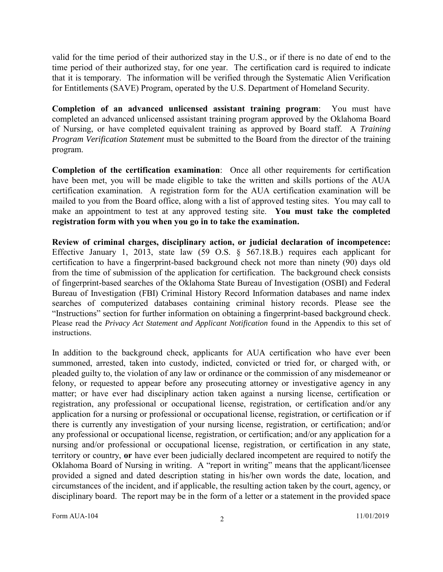valid for the time period of their authorized stay in the U.S., or if there is no date of end to the time period of their authorized stay, for one year. The certification card is required to indicate that it is temporary. The information will be verified through the Systematic Alien Verification for Entitlements (SAVE) Program, operated by the U.S. Department of Homeland Security.

**Completion of an advanced unlicensed assistant training program**: You must have completed an advanced unlicensed assistant training program approved by the Oklahoma Board of Nursing, or have completed equivalent training as approved by Board staff. A *Training Program Verification Statement* must be submitted to the Board from the director of the training program.

**Completion of the certification examination**: Once all other requirements for certification have been met, you will be made eligible to take the written and skills portions of the AUA certification examination. A registration form for the AUA certification examination will be mailed to you from the Board office, along with a list of approved testing sites. You may call to make an appointment to test at any approved testing site. **You must take the completed registration form with you when you go in to take the examination.**

**Review of criminal charges, disciplinary action, or judicial declaration of incompetence:** Effective January 1, 2013, state law (59 O.S. § 567.18.B.) requires each applicant for certification to have a fingerprint-based background check not more than ninety (90) days old from the time of submission of the application for certification. The background check consists of fingerprint-based searches of the Oklahoma State Bureau of Investigation (OSBI) and Federal Bureau of Investigation (FBI) Criminal History Record Information databases and name index searches of computerized databases containing criminal history records. Please see the "Instructions" section for further information on obtaining a fingerprint-based background check. Please read the *Privacy Act Statement and Applicant Notification* found in the Appendix to this set of instructions.

In addition to the background check, applicants for AUA certification who have ever been summoned, arrested, taken into custody, indicted, convicted or tried for, or charged with, or pleaded guilty to, the violation of any law or ordinance or the commission of any misdemeanor or felony, or requested to appear before any prosecuting attorney or investigative agency in any matter; or have ever had disciplinary action taken against a nursing license, certification or registration, any professional or occupational license, registration, or certification and/or any application for a nursing or professional or occupational license, registration, or certification or if there is currently any investigation of your nursing license, registration, or certification; and/or any professional or occupational license, registration, or certification; and/or any application for a nursing and/or professional or occupational license, registration, or certification in any state, territory or country, **or** have ever been judicially declared incompetent are required to notify the Oklahoma Board of Nursing in writing. A "report in writing" means that the applicant/licensee provided a signed and dated description stating in his/her own words the date, location, and circumstances of the incident, and if applicable, the resulting action taken by the court, agency, or disciplinary board. The report may be in the form of a letter or a statement in the provided space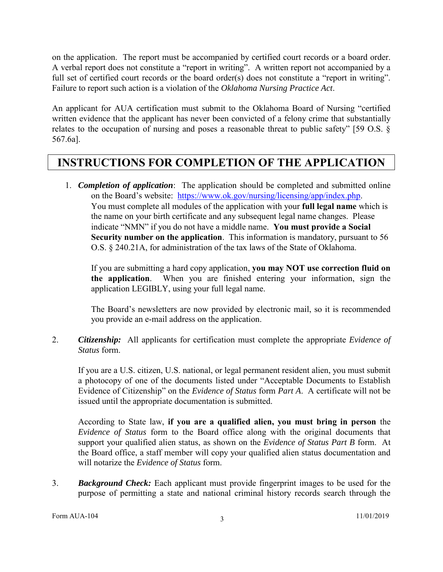on the application. The report must be accompanied by certified court records or a board order. A verbal report does not constitute a "report in writing". A written report not accompanied by a full set of certified court records or the board order(s) does not constitute a "report in writing". Failure to report such action is a violation of the *Oklahoma Nursing Practice Act*.

An applicant for AUA certification must submit to the Oklahoma Board of Nursing "certified written evidence that the applicant has never been convicted of a felony crime that substantially relates to the occupation of nursing and poses a reasonable threat to public safety" [59 O.S. § 567.6a].

#### **INSTRUCTIONS FOR COMPLETION OF THE APPLICATION**

1. *Completion of application*: The application should be completed and submitted online on the Board's website: [https://www.ok.gov/nursing/licensing/app/index.php.](https://www.ok.gov/nursing/licensing/app/index.php) You must complete all modules of the application with your **full legal name** which is the name on your birth certificate and any subsequent legal name changes. Please indicate "NMN" if you do not have a middle name. **You must provide a Social Security number on the application**. This information is mandatory, pursuant to 56 O.S. § 240.21A, for administration of the tax laws of the State of Oklahoma.

If you are submitting a hard copy application, **you may NOT use correction fluid on the application**. When you are finished entering your information, sign the application LEGIBLY, using your full legal name.

The Board's newsletters are now provided by electronic mail, so it is recommended you provide an e-mail address on the application.

2. *Citizenship:* All applicants for certification must complete the appropriate *Evidence of Status* form.

If you are a U.S. citizen, U.S. national, or legal permanent resident alien, you must submit a photocopy of one of the documents listed under "Acceptable Documents to Establish Evidence of Citizenship" on the *Evidence of Status* form *Part A*. A certificate will not be issued until the appropriate documentation is submitted.

According to State law, **if you are a qualified alien, you must bring in person** the *Evidence of Status* form to the Board office along with the original documents that support your qualified alien status, as shown on the *Evidence of Status Part B* form. At the Board office, a staff member will copy your qualified alien status documentation and will notarize the *Evidence of Status* form.

3. *Background Check:* Each applicant must provide fingerprint images to be used for the purpose of permitting a state and national criminal history records search through the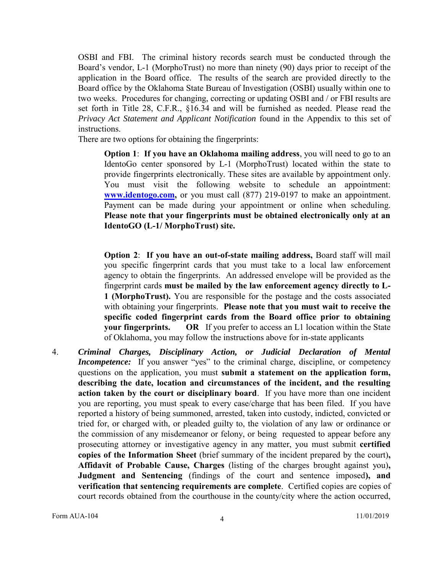OSBI and FBI. The criminal history records search must be conducted through the Board's vendor, L-1 (MorphoTrust) no more than ninety (90) days prior to receipt of the application in the Board office. The results of the search are provided directly to the Board office by the Oklahoma State Bureau of Investigation (OSBI) usually within one to two weeks. Procedures for changing, correcting or updating OSBI and / or FBI results are set forth in Title 28, C.F.R., §16.34 and will be furnished as needed. Please read the *Privacy Act Statement and Applicant Notification* found in the Appendix to this set of instructions.

There are two options for obtaining the fingerprints:

**Option 1**: **If you have an Oklahoma mailing address**, you will need to go to an IdentoGo center sponsored by L-1 (MorphoTrust) located within the state to provide fingerprints electronically. These sites are available by appointment only. You must visit the following website to schedule an appointment: **[www.identogo.com,](http://www.identogo.com/)** or you must call (877) 219-0197 to make an appointment. Payment can be made during your appointment or online when scheduling. **Please note that your fingerprints must be obtained electronically only at an IdentoGO (L-1/ MorphoTrust) site.**

**Option 2**: **If you have an out-of-state mailing address,** Board staff will mail you specific fingerprint cards that you must take to a local law enforcement agency to obtain the fingerprints. An addressed envelope will be provided as the fingerprint cards **must be mailed by the law enforcement agency directly to L-1 (MorphoTrust).** You are responsible for the postage and the costs associated with obtaining your fingerprints. **Please note that you must wait to receive the specific coded fingerprint cards from the Board office prior to obtaining your fingerprints.** OR If you prefer to access an L1 location within the State of Oklahoma, you may follow the instructions above for in-state applicants

4. *Criminal Charges, Disciplinary Action, or Judicial Declaration of Mental Incompetence:* If you answer "yes" to the criminal charge, discipline, or competency questions on the application, you must **submit a statement on the application form, describing the date, location and circumstances of the incident, and the resulting action taken by the court or disciplinary board**. If you have more than one incident you are reporting, you must speak to every case/charge that has been filed. If you have reported a history of being summoned, arrested, taken into custody, indicted, convicted or tried for, or charged with, or pleaded guilty to, the violation of any law or ordinance or the commission of any misdemeanor or felony, or being requested to appear before any prosecuting attorney or investigative agency in any matter, you must submit **certified copies of the Information Sheet** (brief summary of the incident prepared by the court)**, Affidavit of Probable Cause, Charges** (listing of the charges brought against you)**, Judgment and Sentencing** (findings of the court and sentence imposed**), and verification that sentencing requirements are complete**. Certified copies are copies of court records obtained from the courthouse in the county/city where the action occurred,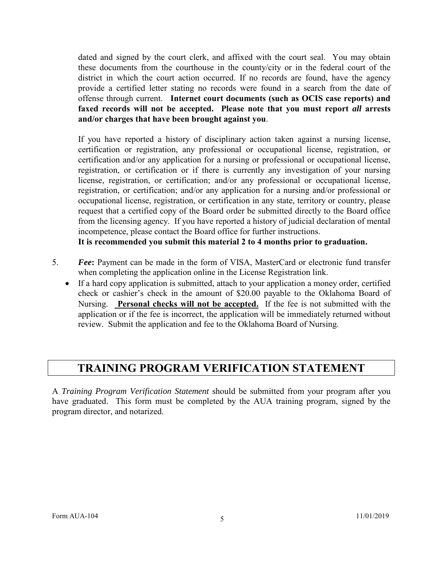dated and signed by the court clerk, and affixed with the court seal. You may obtain these documents from the courthouse in the county/city or in the federal court of the district in which the court action occurred. If no records are found, have the agency provide a certified letter stating no records were found in a search from the date of offense through current. **Internet court documents (such as OCIS case reports) and faxed records will not be accepted. Please note that you must report** *all* **arrests and/or charges that have been brought against you**.

If you have reported a history of disciplinary action taken against a nursing license, certification or registration, any professional or occupational license, registration, or certification and/or any application for a nursing or professional or occupational license, registration, or certification or if there is currently any investigation of your nursing license, registration, or certification; and/or any professional or occupational license, registration, or certification; and/or any application for a nursing and/or professional or occupational license, registration, or certification in any state, territory or country, please request that a certified copy of the Board order be submitted directly to the Board office from the licensing agency. If you have reported a history of judicial declaration of mental incompetence, please contact the Board office for further instructions.

**It is recommended you submit this material 2 to 4 months prior to graduation.**

- 5. *Fee***:** Payment can be made in the form of VISA, MasterCard or electronic fund transfer when completing the application online in the License Registration link.
	- If a hard copy application is submitted, attach to your application a money order, certified check or cashier's check in the amount of \$20.00 payable to the Oklahoma Board of Nursing. **Personal checks will not be accepted.** If the fee is not submitted with the application or if the fee is incorrect, the application will be immediately returned without review. Submit the application and fee to the Oklahoma Board of Nursing.

#### **TRAINING PROGRAM VERIFICATION STATEMENT**

A *Training Program Verification Statement* should be submitted from your program after you have graduated. This form must be completed by the AUA training program, signed by the program director, and notarized.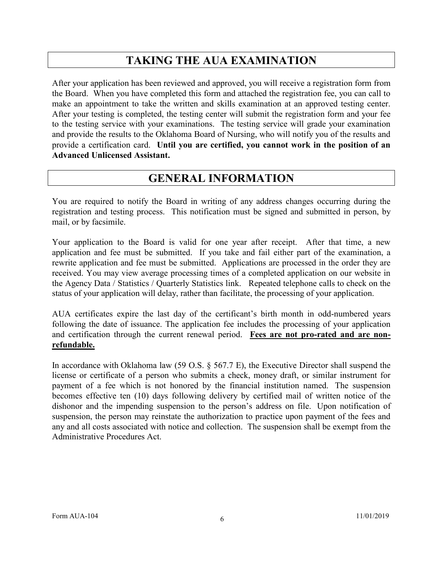### **TAKING THE AUA EXAMINATION**

After your application has been reviewed and approved, you will receive a registration form from the Board. When you have completed this form and attached the registration fee, you can call to make an appointment to take the written and skills examination at an approved testing center. After your testing is completed, the testing center will submit the registration form and your fee to the testing service with your examinations. The testing service will grade your examination and provide the results to the Oklahoma Board of Nursing, who will notify you of the results and provide a certification card. **Until you are certified, you cannot work in the position of an Advanced Unlicensed Assistant.** 

#### **GENERAL INFORMATION**

You are required to notify the Board in writing of any address changes occurring during the registration and testing process. This notification must be signed and submitted in person, by mail, or by facsimile.

Your application to the Board is valid for one year after receipt. After that time, a new application and fee must be submitted. If you take and fail either part of the examination, a rewrite application and fee must be submitted. Applications are processed in the order they are received. You may view average processing times of a completed application on our website in the Agency Data / Statistics / Quarterly Statistics link. Repeated telephone calls to check on the status of your application will delay, rather than facilitate, the processing of your application.

AUA certificates expire the last day of the certificant's birth month in odd-numbered years following the date of issuance. The application fee includes the processing of your application and certification through the current renewal period. **Fees are not pro-rated and are nonrefundable.**

In accordance with Oklahoma law (59 O.S.  $\S$  567.7 E), the Executive Director shall suspend the license or certificate of a person who submits a check, money draft, or similar instrument for payment of a fee which is not honored by the financial institution named. The suspension becomes effective ten (10) days following delivery by certified mail of written notice of the dishonor and the impending suspension to the person's address on file. Upon notification of suspension, the person may reinstate the authorization to practice upon payment of the fees and any and all costs associated with notice and collection. The suspension shall be exempt from the Administrative Procedures Act.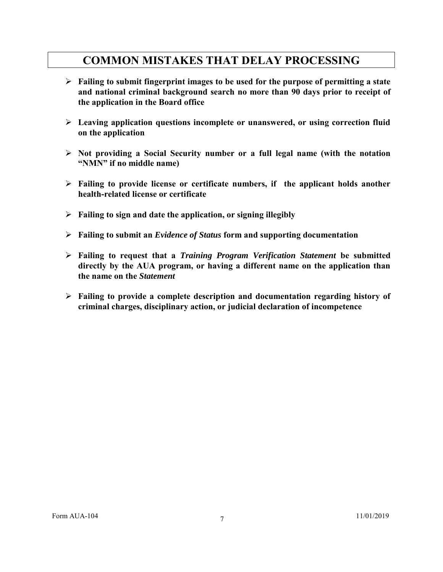#### **COMMON MISTAKES THAT DELAY PROCESSING**

- **Failing to submit fingerprint images to be used for the purpose of permitting a state and national criminal background search no more than 90 days prior to receipt of the application in the Board office**
- **Leaving application questions incomplete or unanswered, or using correction fluid on the application**
- **Not providing a Social Security number or a full legal name (with the notation "NMN" if no middle name)**
- **Failing to provide license or certificate numbers, if the applicant holds another health-related license or certificate**
- **Failing to sign and date the application, or signing illegibly**
- **Failing to submit an** *Evidence of Status* **form and supporting documentation**
- **Failing to request that a** *Training Program Verification Statement* **be submitted directly by the AUA program, or having a different name on the application than the name on the** *Statement*
- **Failing to provide a complete description and documentation regarding history of criminal charges, disciplinary action, or judicial declaration of incompetence**